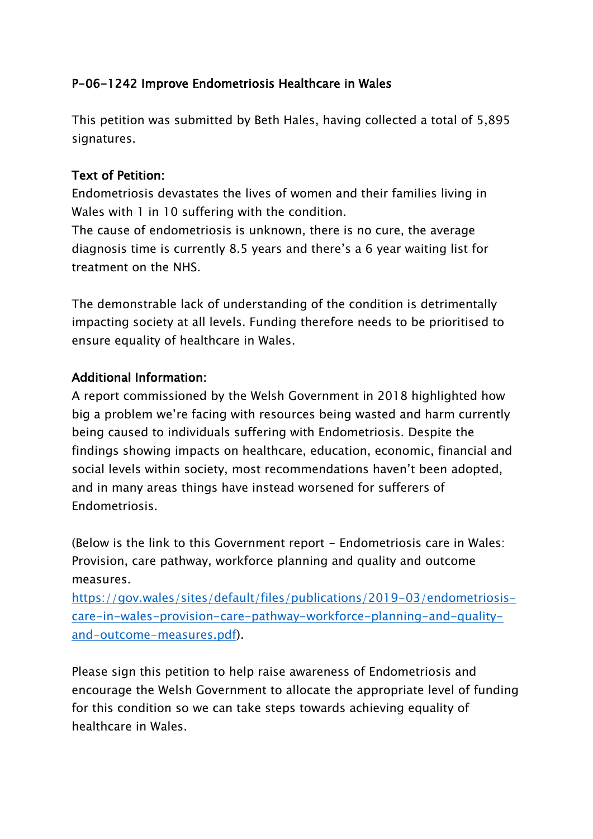## P-06-1242 Improve Endometriosis Healthcare in Wales

This petition was submitted by Beth Hales, having collected a total of 5,895 signatures.

## Text of Petition:

Endometriosis devastates the lives of women and their families living in Wales with 1 in 10 suffering with the condition.

The cause of endometriosis is unknown, there is no cure, the average diagnosis time is currently 8.5 years and there's a 6 year waiting list for treatment on the NHS.

The demonstrable lack of understanding of the condition is detrimentally impacting society at all levels. Funding therefore needs to be prioritised to ensure equality of healthcare in Wales.

## Additional Information:

A report commissioned by the Welsh Government in 2018 highlighted how big a problem we're facing with resources being wasted and harm currently being caused to individuals suffering with Endometriosis. Despite the findings showing impacts on healthcare, education, economic, financial and social levels within society, most recommendations haven't been adopted, and in many areas things have instead worsened for sufferers of Endometriosis.

(Below is the link to this Government report - Endometriosis care in Wales: Provision, care pathway, workforce planning and quality and outcome measures.

[https://gov.wales/sites/default/files/publications/2019-03/endometriosis](https://gov.wales/sites/default/files/publications/2019-03/endometriosis-care-in-wales-provision-care-pathway-workforce-planning-and-quality-and-outcome-measures.pdf)[care-in-wales-provision-care-pathway-workforce-planning-and-quality](https://gov.wales/sites/default/files/publications/2019-03/endometriosis-care-in-wales-provision-care-pathway-workforce-planning-and-quality-and-outcome-measures.pdf)[and-outcome-measures.pdf\)](https://gov.wales/sites/default/files/publications/2019-03/endometriosis-care-in-wales-provision-care-pathway-workforce-planning-and-quality-and-outcome-measures.pdf).

Please sign this petition to help raise awareness of Endometriosis and encourage the Welsh Government to allocate the appropriate level of funding for this condition so we can take steps towards achieving equality of healthcare in Wales.